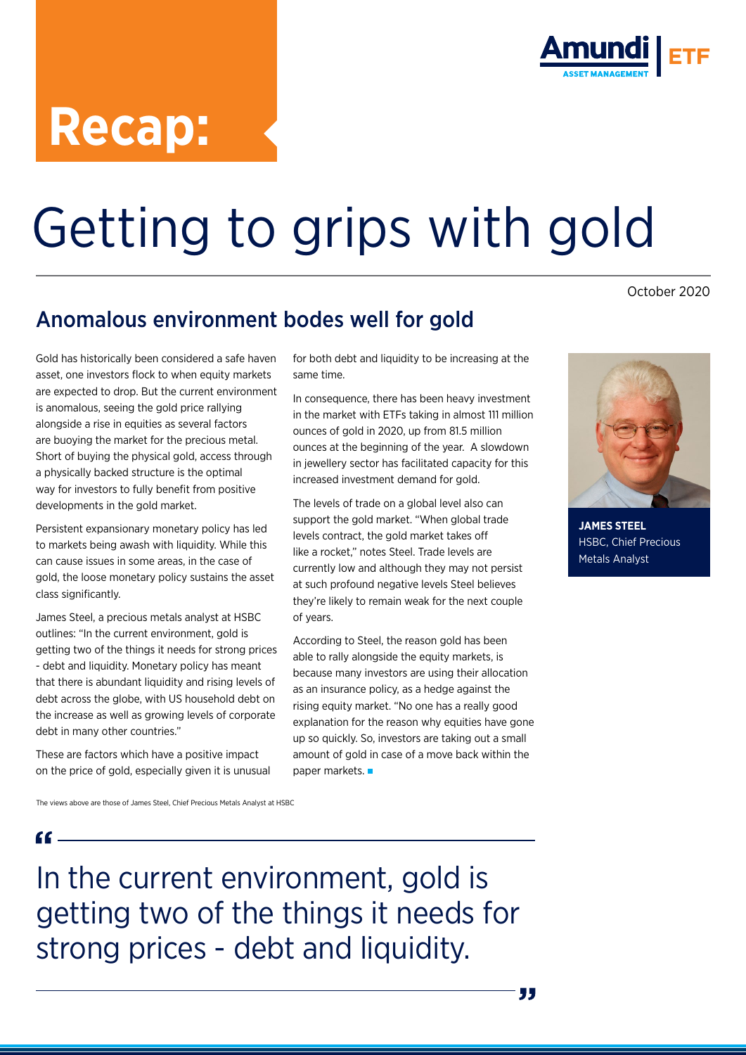# **Recap:**



# Getting to grips with gold

### Anomalous environment bodes well for gold

October 2020

#### Gold has historically been considered a safe haven asset, one investors flock to when equity markets are expected to drop. But the current environment is anomalous, seeing the gold price rallying alongside a rise in equities as several factors are buoying the market for the precious metal. Short of buying the physical gold, access through a physically backed structure is the optimal way for investors to fully benefit from positive developments in the gold market.

Persistent expansionary monetary policy has led to markets being awash with liquidity. While this can cause issues in some areas, in the case of gold, the loose monetary policy sustains the asset class significantly.

James Steel, a precious metals analyst at HSBC outlines: "In the current environment, gold is getting two of the things it needs for strong prices - debt and liquidity. Monetary policy has meant that there is abundant liquidity and rising levels of debt across the globe, with US household debt on the increase as well as growing levels of corporate debt in many other countries."

These are factors which have a positive impact on the price of gold, especially given it is unusual for both debt and liquidity to be increasing at the same time.

In consequence, there has been heavy investment in the market with ETFs taking in almost 111 million ounces of gold in 2020, up from 81.5 million ounces at the beginning of the year. A slowdown in jewellery sector has facilitated capacity for this increased investment demand for gold.

The levels of trade on a global level also can support the gold market. "When global trade levels contract, the gold market takes off like a rocket," notes Steel. Trade levels are currently low and although they may not persist at such profound negative levels Steel believes they're likely to remain weak for the next couple of years.

According to Steel, the reason gold has been able to rally alongside the equity markets, is because many investors are using their allocation as an insurance policy, as a hedge against the rising equity market. "No one has a really good explanation for the reason why equities have gone up so quickly. So, investors are taking out a small amount of gold in case of a move back within the paper markets.



**JAMES STEEL** HSBC, Chief Precious Metals Analyst

The views above are those of James Steel, Chief Precious Metals Analyst at HSBC

In the current environment, gold is getting two of the things it needs for strong prices - debt and liquidity.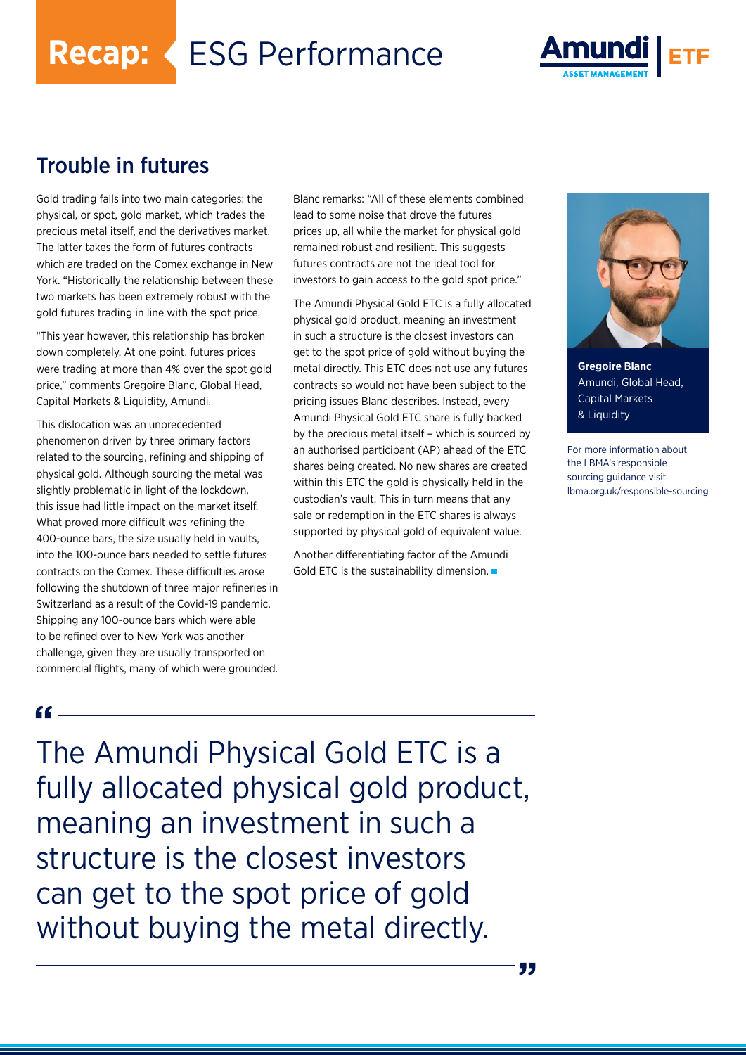**Recap:** ESG Performance



#### Trouble in futures

Gold trading falls into two main categories: the physical, or spot, gold market, which trades the precious metal itself, and the derivatives market. The latter takes the form of futures contracts which are traded on the Comex exchange in New York. "Historically the relationship between these two markets has been extremely robust with the gold futures trading in line with the spot price.

"This year however, this relationship has broken down completely. At one point, futures prices were trading at more than 4% over the spot gold price," comments Gregoire Blanc, Global Head, Capital Markets & Liquidity, Amundi.

This dislocation was an unprecedented phenomenon driven by three primary factors related to the sourcing, refining and shipping of physical gold. Although sourcing the metal was slightly problematic in light of the lockdown, this issue had little impact on the market itself. What proved more difficult was refining the 400-ounce bars, the size usually held in vaults, into the 100-ounce bars needed to settle futures contracts on the Comex. These difficulties arose following the shutdown of three major refineries in Switzerland as a result of the Covid-19 pandemic. Shipping any 100-ounce bars which were able to be refined over to New York was another challenge, given they are usually transported on commercial flights, many of which were grounded.

Blanc remarks: "All of these elements combined lead to some noise that drove the futures prices up, all while the market for physical gold remained robust and resilient. This suggests futures contracts are not the ideal tool for investors to gain access to the gold spot price."

The Amundi Physical Gold ETC is a fully allocated physical gold product, meaning an investment in such a structure is the closest investors can get to the spot price of gold without buying the metal directly. This ETC does not use any futures contracts so would not have been subject to the pricing issues Blanc describes. Instead, every Amundi Physical Gold ETC share is fully backed by the precious metal itself – which is sourced by an authorised participant (AP) ahead of the ETC shares being created. No new shares are created within this ETC the gold is physically held in the custodian's vault. This in turn means that any sale or redemption in the ETC shares is always supported by physical gold of equivalent value.

Another differentiating factor of the Amundi Gold ETC is the sustainability dimension.



**Gregoire Blanc** Amundi, Global Head, Capital Markets & Liquidity

For more information about the LBMA's responsible sourcing guidance visit lbma.org.uk/responsible-sourcing

 $cc_$ 

The Amundi Physical Gold ETC is a fully allocated physical gold product, meaning an investment in such a structure is the closest investors can get to the spot price of gold without buying the metal directly.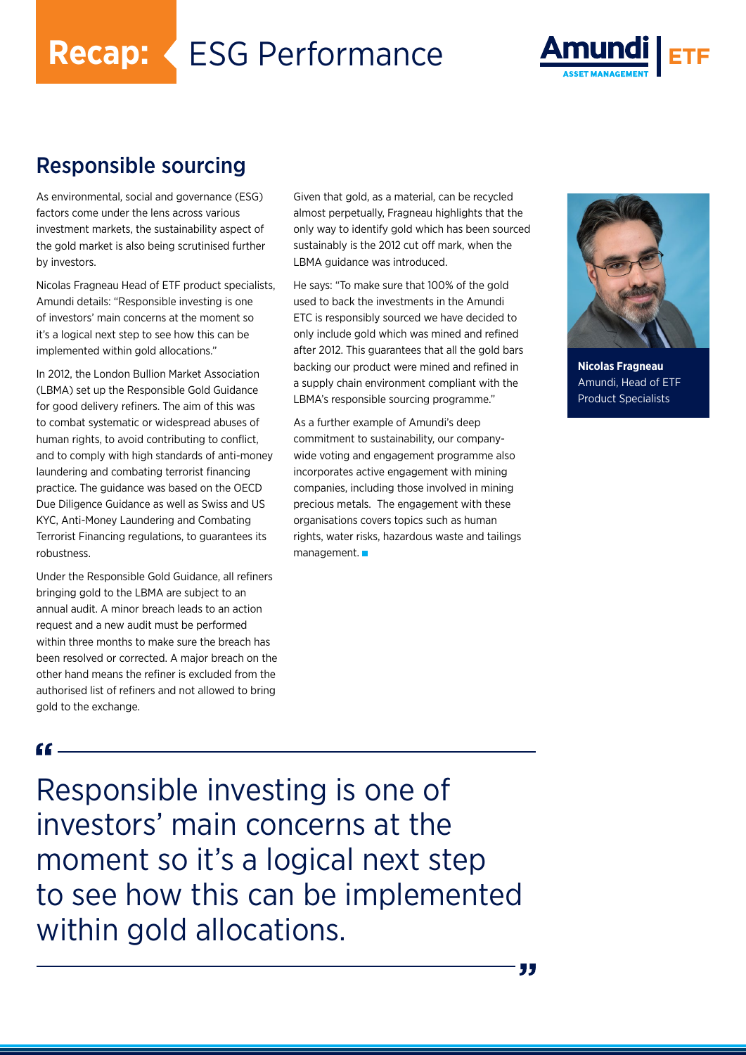**Recap:** ESG Performance



#### Responsible sourcing

As environmental, social and governance (ESG) factors come under the lens across various investment markets, the sustainability aspect of the gold market is also being scrutinised further by investors.

Nicolas Fragneau Head of ETF product specialists, Amundi details: "Responsible investing is one of investors' main concerns at the moment so it's a logical next step to see how this can be implemented within gold allocations."

In 2012, the London Bullion Market Association (LBMA) set up the Responsible Gold Guidance for good delivery refiners. The aim of this was to combat systematic or widespread abuses of human rights, to avoid contributing to conflict, and to comply with high standards of anti-money laundering and combating terrorist financing practice. The guidance was based on the OECD Due Diligence Guidance as well as Swiss and US KYC, Anti-Money Laundering and Combating Terrorist Financing regulations, to guarantees its robustness.

Under the Responsible Gold Guidance, all refiners bringing gold to the LBMA are subject to an annual audit. A minor breach leads to an action request and a new audit must be performed within three months to make sure the breach has been resolved or corrected. A major breach on the other hand means the refiner is excluded from the authorised list of refiners and not allowed to bring gold to the exchange.

Given that gold, as a material, can be recycled almost perpetually, Fragneau highlights that the only way to identify gold which has been sourced sustainably is the 2012 cut off mark, when the LBMA guidance was introduced.

He says: "To make sure that 100% of the gold used to back the investments in the Amundi ETC is responsibly sourced we have decided to only include gold which was mined and refined after 2012. This guarantees that all the gold bars backing our product were mined and refined in a supply chain environment compliant with the LBMA's responsible sourcing programme."

As a further example of Amundi's deep commitment to sustainability, our companywide voting and engagement programme also incorporates active engagement with mining companies, including those involved in mining precious metals. The engagement with these organisations covers topics such as human rights, water risks, hazardous waste and tailings management.



**Nicolas Fragneau** Amundi, Head of ETF Product Specialists

#### $G =$

Responsible investing is one of investors' main concerns at the moment so it's a logical next step to see how this can be implemented within gold allocations.